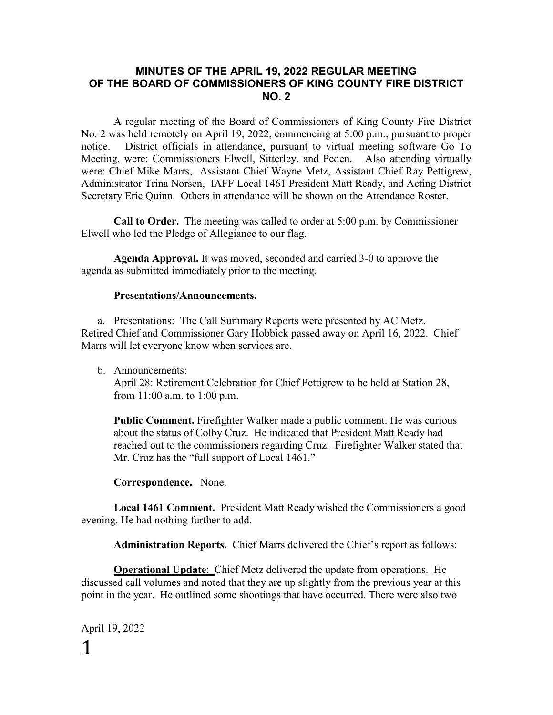#### **MINUTES OF THE APRIL 19, 2022 REGULAR MEETING OF THE BOARD OF COMMISSIONERS OF KING COUNTY FIRE DISTRICT NO. 2**

A regular meeting of the Board of Commissioners of King County Fire District No. 2 was held remotely on April 19, 2022, commencing at 5:00 p.m., pursuant to proper notice. District officials in attendance, pursuant to virtual meeting software Go To Meeting, were: Commissioners Elwell, Sitterley, and Peden. Also attending virtually were: Chief Mike Marrs, Assistant Chief Wayne Metz, Assistant Chief Ray Pettigrew, Administrator Trina Norsen, IAFF Local 1461 President Matt Ready, and Acting District Secretary Eric Quinn. Others in attendance will be shown on the Attendance Roster.

**Call to Order.** The meeting was called to order at 5:00 p.m. by Commissioner Elwell who led the Pledge of Allegiance to our flag.

**Agenda Approval.** It was moved, seconded and carried 3-0 to approve the agenda as submitted immediately prior to the meeting.

#### **Presentations/Announcements.**

a. Presentations: The Call Summary Reports were presented by AC Metz. Retired Chief and Commissioner Gary Hobbick passed away on April 16, 2022. Chief Marrs will let everyone know when services are.

b. Announcements:

April 28: Retirement Celebration for Chief Pettigrew to be held at Station 28, from 11:00 a.m. to 1:00 p.m.

**Public Comment.** Firefighter Walker made a public comment. He was curious about the status of Colby Cruz. He indicated that President Matt Ready had reached out to the commissioners regarding Cruz. Firefighter Walker stated that Mr. Cruz has the "full support of Local 1461."

**Correspondence.** None.

**Local 1461 Comment.** President Matt Ready wished the Commissioners a good evening. He had nothing further to add.

**Administration Reports.** Chief Marrs delivered the Chief's report as follows:

**Operational Update**: Chief Metz delivered the update from operations. He discussed call volumes and noted that they are up slightly from the previous year at this point in the year. He outlined some shootings that have occurred. There were also two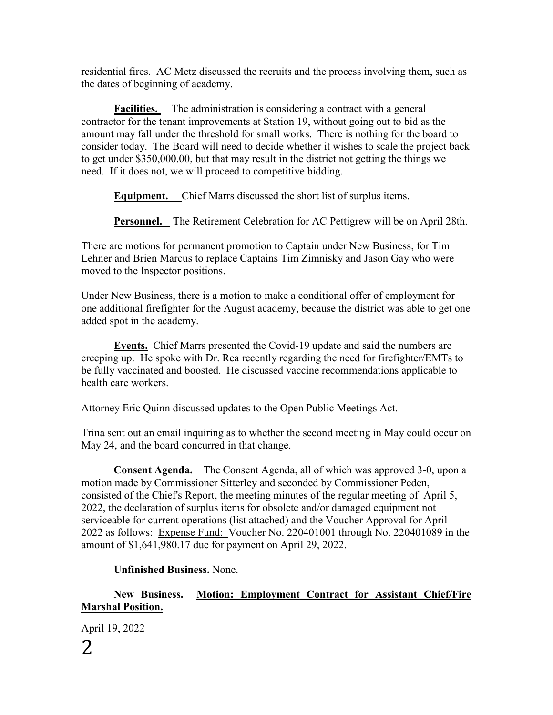residential fires. AC Metz discussed the recruits and the process involving them, such as the dates of beginning of academy.

**Facilities.** The administration is considering a contract with a general contractor for the tenant improvements at Station 19, without going out to bid as the amount may fall under the threshold for small works. There is nothing for the board to consider today. The Board will need to decide whether it wishes to scale the project back to get under \$350,000.00, but that may result in the district not getting the things we need. If it does not, we will proceed to competitive bidding.

**Equipment.** Chief Marrs discussed the short list of surplus items.

**Personnel.** The Retirement Celebration for AC Pettigrew will be on April 28th.

There are motions for permanent promotion to Captain under New Business, for Tim Lehner and Brien Marcus to replace Captains Tim Zimnisky and Jason Gay who were moved to the Inspector positions.

Under New Business, there is a motion to make a conditional offer of employment for one additional firefighter for the August academy, because the district was able to get one added spot in the academy.

**Events.** Chief Marrs presented the Covid-19 update and said the numbers are creeping up. He spoke with Dr. Rea recently regarding the need for firefighter/EMTs to be fully vaccinated and boosted. He discussed vaccine recommendations applicable to health care workers.

Attorney Eric Quinn discussed updates to the Open Public Meetings Act.

Trina sent out an email inquiring as to whether the second meeting in May could occur on May 24, and the board concurred in that change.

**Consent Agenda.** The Consent Agenda, all of which was approved 3-0, upon a motion made by Commissioner Sitterley and seconded by Commissioner Peden, consisted of the Chief's Report, the meeting minutes of the regular meeting of April 5, 2022, the declaration of surplus items for obsolete and/or damaged equipment not serviceable for current operations (list attached) and the Voucher Approval for April 2022 as follows: Expense Fund: Voucher No. 220401001 through No. 220401089 in the amount of \$1,641,980.17 due for payment on April 29, 2022.

### **Unfinished Business.** None.

**New Business. Motion: Employment Contract for Assistant Chief/Fire Marshal Position.**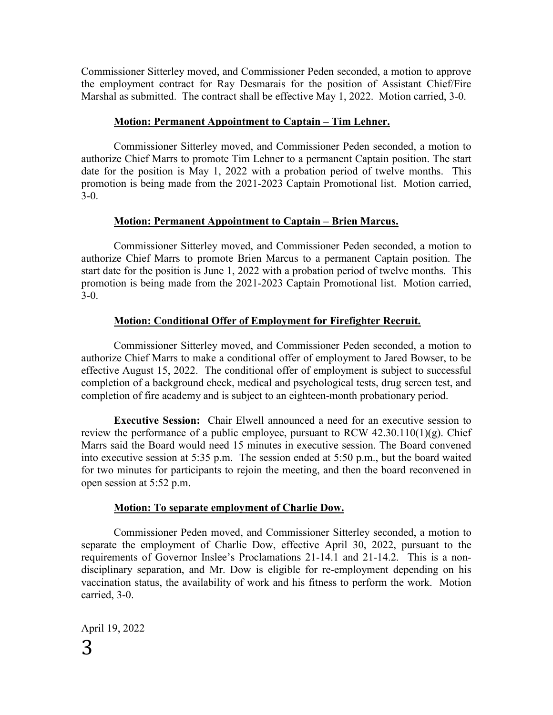Commissioner Sitterley moved, and Commissioner Peden seconded, a motion to approve the employment contract for Ray Desmarais for the position of Assistant Chief/Fire Marshal as submitted. The contract shall be effective May 1, 2022. Motion carried, 3-0.

#### **Motion: Permanent Appointment to Captain – Tim Lehner.**

Commissioner Sitterley moved, and Commissioner Peden seconded, a motion to authorize Chief Marrs to promote Tim Lehner to a permanent Captain position. The start date for the position is May 1, 2022 with a probation period of twelve months. This promotion is being made from the 2021-2023 Captain Promotional list. Motion carried, 3-0.

#### **Motion: Permanent Appointment to Captain – Brien Marcus.**

Commissioner Sitterley moved, and Commissioner Peden seconded, a motion to authorize Chief Marrs to promote Brien Marcus to a permanent Captain position. The start date for the position is June 1, 2022 with a probation period of twelve months. This promotion is being made from the 2021-2023 Captain Promotional list. Motion carried, 3-0.

#### **Motion: Conditional Offer of Employment for Firefighter Recruit.**

Commissioner Sitterley moved, and Commissioner Peden seconded, a motion to authorize Chief Marrs to make a conditional offer of employment to Jared Bowser, to be effective August 15, 2022. The conditional offer of employment is subject to successful completion of a background check, medical and psychological tests, drug screen test, and completion of fire academy and is subject to an eighteen-month probationary period.

**Executive Session:** Chair Elwell announced a need for an executive session to review the performance of a public employee, pursuant to RCW  $42.30.110(1)(g)$ . Chief Marrs said the Board would need 15 minutes in executive session. The Board convened into executive session at 5:35 p.m. The session ended at 5:50 p.m., but the board waited for two minutes for participants to rejoin the meeting, and then the board reconvened in open session at 5:52 p.m.

#### **Motion: To separate employment of Charlie Dow.**

Commissioner Peden moved, and Commissioner Sitterley seconded, a motion to separate the employment of Charlie Dow, effective April 30, 2022, pursuant to the requirements of Governor Inslee's Proclamations 21-14.1 and 21-14.2. This is a nondisciplinary separation, and Mr. Dow is eligible for re-employment depending on his vaccination status, the availability of work and his fitness to perform the work. Motion carried, 3-0.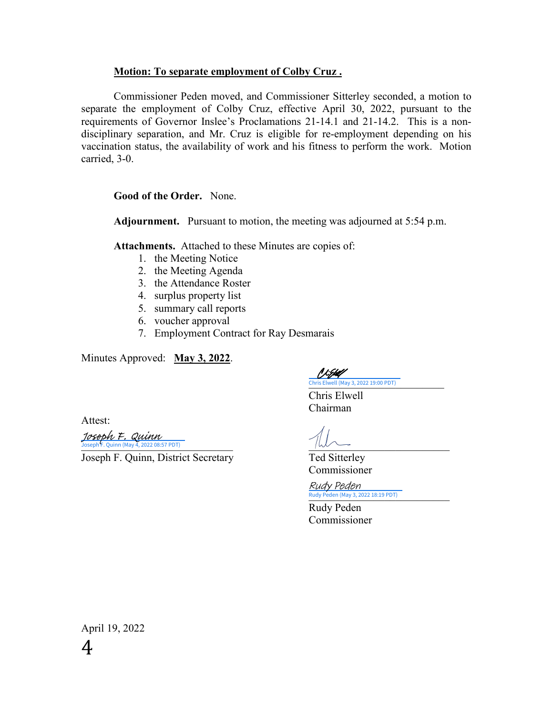#### **Motion: To separate employment of Colby Cruz .**

Commissioner Peden moved, and Commissioner Sitterley seconded, a motion to separate the employment of Colby Cruz, effective April 30, 2022, pursuant to the requirements of Governor Inslee's Proclamations 21-14.1 and 21-14.2. This is a nondisciplinary separation, and Mr. Cruz is eligible for re-employment depending on his vaccination status, the availability of work and his fitness to perform the work. Motion carried, 3-0.

**Good of the Order.** None.

**Adjournment.** Pursuant to motion, the meeting was adjourned at 5:54 p.m.

**Attachments.** Attached to these Minutes are copies of:

- 1. the Meeting Notice
- 2. the Meeting Agenda
- 3. the Attendance Roster
- 4. surplus property list
- 5. summary call reports
- 6. voucher approval
- 7. Employment Contract for Ray Desmarais

Minutes Approved: **May 3, 2022**.

P L.Jbelf Chris Elwell (May 3, 2022 19:00 PDT)

 Chris Elwell Chairman

Attest:

 $\frac{1}{\sqrt{1-\frac{1}{2}}}\$  Joseph F. Quinn (May 4, 2022 08:57 PDT) Joseph F. Quinn

Joseph F. Quinn, District Secretary Ted Sitterley

Commissioner

Rudy Peden (May 3, 2022 18:19 PDT) Rudy Peden

> Rudy Peden Commissioner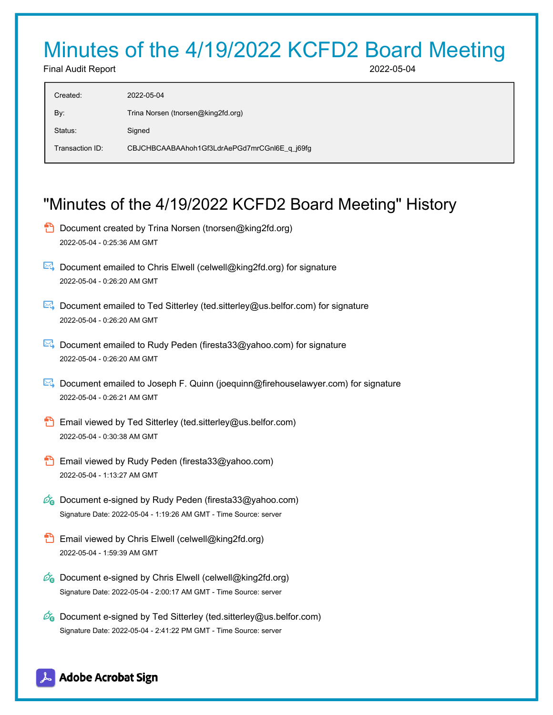# Minutes of the 4/19/2022 KCFD2 Board Meeting

Final Audit Report 2022-05-04

| Created:        | 2022-05-04                                   |
|-----------------|----------------------------------------------|
| By:             | Trina Norsen (tnorsen@king2fd.org)           |
| Status:         | Signed                                       |
| Transaction ID: | CBJCHBCAABAAhoh1Gf3LdrAePGd7mrCGnI6E q i69fq |
|                 |                                              |

# "Minutes of the 4/19/2022 KCFD2 Board Meeting" History

- **D** Document created by Trina Norsen (tnorsen@king2fd.org) 2022-05-04 - 0:25:36 AM GMT
- $\boxtimes$  Document emailed to Chris Elwell (celwell@king2fd.org) for signature 2022-05-04 - 0:26:20 AM GMT
- Document emailed to Ted Sitterley (ted.sitterley@us.belfor.com) for signature 2022-05-04 - 0:26:20 AM GMT
- Document emailed to Rudy Peden (firesta33@yahoo.com) for signature 2022-05-04 - 0:26:20 AM GMT
- Document emailed to Joseph F. Quinn (joequinn@firehouselawyer.com) for signature 2022-05-04 - 0:26:21 AM GMT
- **Email viewed by Ted Sitterley (ted.sitterley@us.belfor.com)** 2022-05-04 - 0:30:38 AM GMT
- **B** Email viewed by Rudy Peden (firesta33@yahoo.com) 2022-05-04 - 1:13:27 AM GMT
- $\mathscr{O}_\bullet$  Document e-signed by Rudy Peden (firesta33@yahoo.com) Signature Date: 2022-05-04 - 1:19:26 AM GMT - Time Source: server
- **Email viewed by Chris Elwell (celwell@king2fd.org)** 2022-05-04 - 1:59:39 AM GMT
- Co Document e-signed by Chris Elwell (celwell@king2fd.org) Signature Date: 2022-05-04 - 2:00:17 AM GMT - Time Source: server
- $\mathscr{D}_{\bullet}$  Document e-signed by Ted Sitterley (ted.sitterley@us.belfor.com) Signature Date: 2022-05-04 - 2:41:22 PM GMT - Time Source: server

## **Adobe Acrobat Sign**